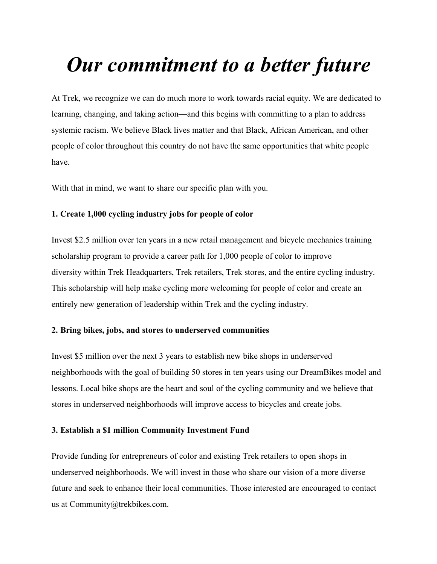# *Our commitment to a better future*

At Trek, we recognize we can do much more to work towards racial equity. We are dedicated to learning, changing, and taking action—and this begins with committing to a plan to address systemic racism. We believe Black lives matter and that Black, African American, and other people of color throughout this country do not have the same opportunities that white people have.

With that in mind, we want to share our specific plan with you.

# **1. Create 1,000 cycling industry jobs for people of color**

Invest \$2.5 million over ten years in a new retail management and bicycle mechanics training scholarship program to provide a career path for 1,000 people of color to improve diversity within Trek Headquarters, Trek retailers, Trek stores, and the entire cycling industry. This scholarship will help make cycling more welcoming for people of color and create an entirely new generation of leadership within Trek and the cycling industry.

# **2. Bring bikes, jobs, and stores to underserved communities**

Invest \$5 million over the next 3 years to establish new bike shops in underserved neighborhoods with the goal of building 50 stores in ten years using our DreamBikes model and lessons. Local bike shops are the heart and soul of the cycling community and we believe that stores in underserved neighborhoods will improve access to bicycles and create jobs.

#### **3. Establish a \$1 million Community Investment Fund**

Provide funding for entrepreneurs of color and existing Trek retailers to open shops in underserved neighborhoods. We will invest in those who share our vision of a more diverse future and seek to enhance their local communities. Those interested are encouraged to contact us at Community@trekbikes.com.